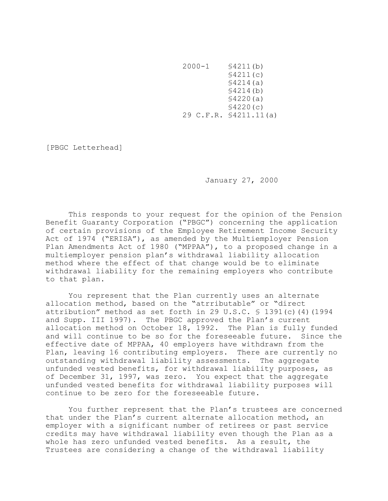2000-1 §4211(b) §4211(c) §4214(a) §4214(b) §4220(a) §4220(c) 29 C.F.R. §4211.11(a)

[PBGC Letterhead]

January 27, 2000

This responds to your request for the opinion of the Pension Benefit Guaranty Corporation ("PBGC") concerning the application of certain provisions of the Employee Retirement Income Security Act of 1974 ("ERISA"), as amended by the Multiemployer Pension Plan Amendments Act of 1980 ("MPPAA"), to a proposed change in a multiemployer pension plan's withdrawal liability allocation method where the effect of that change would be to eliminate withdrawal liability for the remaining employers who contribute to that plan.

You represent that the Plan currently uses an alternate allocation method, based on the "atrributable" or "direct attribution" method as set forth in 29 U.S.C.  $\frac{1}{5}$  1391(c)(4)(1994) and Supp. III 1997). The PBGC approved the Plan's current allocation method on October 18, 1992. The Plan is fully funded and will continue to be so for the foreseeable future. Since the effective date of MPPAA, 40 employers have withdrawn from the Plan, leaving 16 contributing employers. There are currently no outstanding withdrawal liability assessments. The aggregate unfunded vested benefits, for withdrawal liability purposes, as of December 31, 1997, was zero. You expect that the aggregate unfunded vested benefits for withdrawal liability purposes will continue to be zero for the foreseeable future.

You further represent that the Plan's trustees are concerned that under the Plan's current alternate allocation method, an employer with a significant number of retirees or past service credits may have withdrawal liability even though the Plan as a whole has zero unfunded vested benefits. As a result, the Trustees are considering a change of the withdrawal liability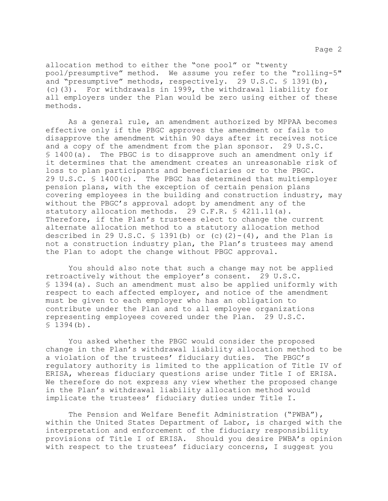Page 2

allocation method to either the "one pool" or "twenty pool/presumptive" method. We assume you refer to the "rolling-5" and "presumptive" methods, respectively. 29 U.S.C. § 1391(b), (c)(3). For withdrawals in 1999, the withdrawal liability for all employers under the Plan would be zero using either of these methods.

As a general rule, an amendment authorized by MPPAA becomes effective only if the PBGC approves the amendment or fails to disapprove the amendment within 90 days after it receives notice and a copy of the amendment from the plan sponsor. 29 U.S.C. § 1400(a). The PBGC is to disapprove such an amendment only if it determines that the amendment creates an unreasonable risk of loss to plan participants and beneficiaries or to the PBGC. 29 U.S.C. § 1400(c). The PBGC has determined that multiemployer pension plans, with the exception of certain pension plans covering employees in the building and construction industry, may without the PBGC's approval adopt by amendment any of the statutory allocation methods. 29 C.F.R. § 4211.11(a). Therefore, if the Plan's trustees elect to change the current alternate allocation method to a statutory allocation method described in 29 U.S.C.  $\frac{1}{2}$  1391(b) or (c)(2)-(4), and the Plan is not a construction industry plan, the Plan's trustees may amend the Plan to adopt the change without PBGC approval.

You should also note that such a change may not be applied retroactively without the employer's consent. 29 U.S.C. § 1394(a). Such an amendment must also be applied uniformly with respect to each affected employer, and notice of the amendment must be given to each employer who has an obligation to contribute under the Plan and to all employee organizations representing employees covered under the Plan. 29 U.S.C.  $$1394(b).$ 

You asked whether the PBGC would consider the proposed change in the Plan's withdrawal liability allocation method to be a violation of the trustees' fiduciary duties. The PBGC's regulatory authority is limited to the application of Title IV of ERISA, whereas fiduciary questions arise under Title I of ERISA. We therefore do not express any view whether the proposed change in the Plan's withdrawal liability allocation method would implicate the trustees' fiduciary duties under Title I.

The Pension and Welfare Benefit Administration ("PWBA"), within the United States Department of Labor, is charged with the interpretation and enforcement of the fiduciary responsibility provisions of Title I of ERISA. Should you desire PWBA's opinion with respect to the trustees' fiduciary concerns, I suggest you